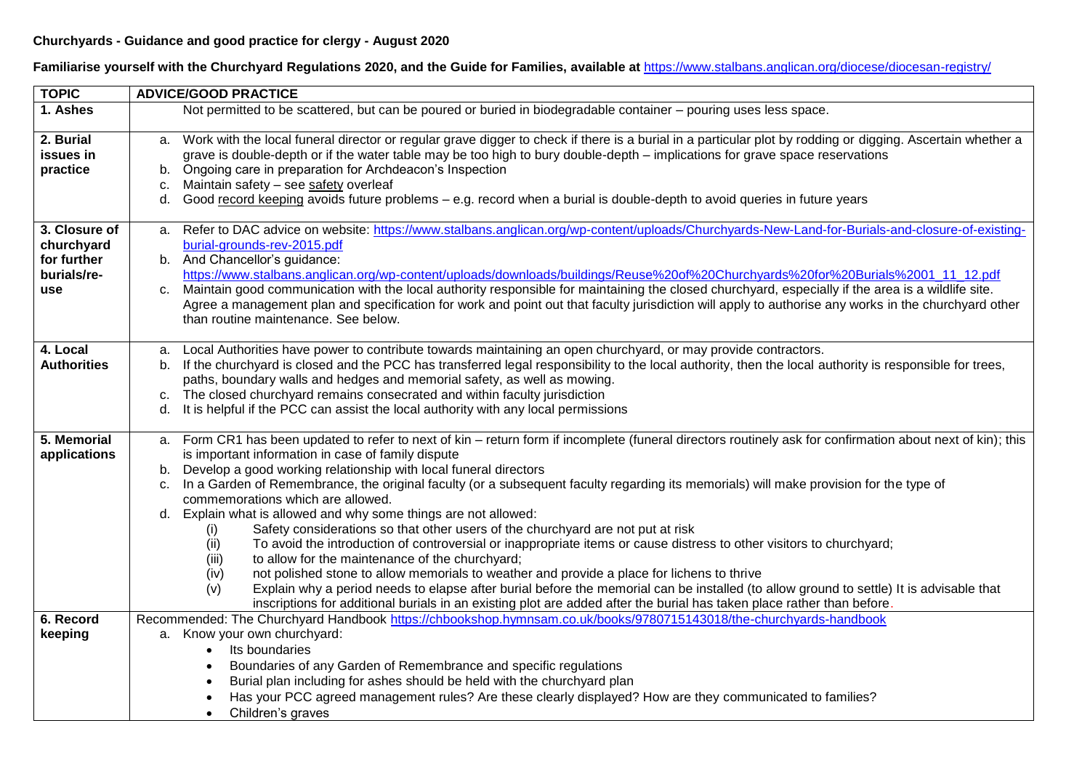## **Churchyards - Guidance and good practice for clergy - August 2020**

**Familiarise yourself with the Churchyard Regulations 2020, and the Guide for Families, available at** <https://www.stalbans.anglican.org/diocese/diocesan-registry/>

| <b>TOPIC</b>               | <b>ADVICE/GOOD PRACTICE</b>                                                                                                                                                                                                                          |
|----------------------------|------------------------------------------------------------------------------------------------------------------------------------------------------------------------------------------------------------------------------------------------------|
| 1. Ashes                   | Not permitted to be scattered, but can be poured or buried in biodegradable container – pouring uses less space.                                                                                                                                     |
|                            |                                                                                                                                                                                                                                                      |
| 2. Burial                  | a. Work with the local funeral director or regular grave digger to check if there is a burial in a particular plot by rodding or digging. Ascertain whether a                                                                                        |
| issues in                  | grave is double-depth or if the water table may be too high to bury double-depth - implications for grave space reservations                                                                                                                         |
| practice                   | b. Ongoing care in preparation for Archdeacon's Inspection                                                                                                                                                                                           |
|                            | Maintain safety - see safety overleaf<br>C.                                                                                                                                                                                                          |
|                            | d. Good record keeping avoids future problems - e.g. record when a burial is double-depth to avoid queries in future years                                                                                                                           |
|                            |                                                                                                                                                                                                                                                      |
| 3. Closure of              | Refer to DAC advice on website: https://www.stalbans.anglican.org/wp-content/uploads/Churchyards-New-Land-for-Burials-and-closure-of-existing-<br>a.                                                                                                 |
| churchyard                 | burial-grounds-rev-2015.pdf                                                                                                                                                                                                                          |
| for further<br>burials/re- | b. And Chancellor's guidance:<br>https://www.stalbans.anglican.org/wp-content/uploads/downloads/buildings/Reuse%20of%20Churchyards%20for%20Burials%2001_11_12.pdf                                                                                    |
| <b>use</b>                 | Maintain good communication with the local authority responsible for maintaining the closed churchyard, especially if the area is a wildlife site.<br>$C_{1}$                                                                                        |
|                            | Agree a management plan and specification for work and point out that faculty jurisdiction will apply to authorise any works in the churchyard other                                                                                                 |
|                            | than routine maintenance. See below.                                                                                                                                                                                                                 |
|                            |                                                                                                                                                                                                                                                      |
| 4. Local                   | Local Authorities have power to contribute towards maintaining an open churchyard, or may provide contractors.<br>a.                                                                                                                                 |
| <b>Authorities</b>         | If the churchyard is closed and the PCC has transferred legal responsibility to the local authority, then the local authority is responsible for trees,                                                                                              |
|                            | paths, boundary walls and hedges and memorial safety, as well as mowing.                                                                                                                                                                             |
|                            | c. The closed churchyard remains consecrated and within faculty jurisdiction                                                                                                                                                                         |
|                            | It is helpful if the PCC can assist the local authority with any local permissions<br>d.                                                                                                                                                             |
|                            |                                                                                                                                                                                                                                                      |
| 5. Memorial                | Form CR1 has been updated to refer to next of kin - return form if incomplete (funeral directors routinely ask for confirmation about next of kin); this<br>a.                                                                                       |
| applications               | is important information in case of family dispute                                                                                                                                                                                                   |
|                            | Develop a good working relationship with local funeral directors<br>b.                                                                                                                                                                               |
|                            | In a Garden of Remembrance, the original faculty (or a subsequent faculty regarding its memorials) will make provision for the type of<br>C.                                                                                                         |
|                            | commemorations which are allowed.                                                                                                                                                                                                                    |
|                            | d. Explain what is allowed and why some things are not allowed:                                                                                                                                                                                      |
|                            | Safety considerations so that other users of the churchyard are not put at risk<br>(i)                                                                                                                                                               |
|                            | (ii)<br>To avoid the introduction of controversial or inappropriate items or cause distress to other visitors to churchyard;                                                                                                                         |
|                            | (iii)<br>to allow for the maintenance of the churchyard;                                                                                                                                                                                             |
|                            | not polished stone to allow memorials to weather and provide a place for lichens to thrive<br>(iv)<br>Explain why a period needs to elapse after burial before the memorial can be installed (to allow ground to settle) It is advisable that<br>(v) |
|                            | inscriptions for additional burials in an existing plot are added after the burial has taken place rather than before.                                                                                                                               |
| 6. Record                  | Recommended: The Churchyard Handbook https://chbookshop.hymnsam.co.uk/books/9780715143018/the-churchyards-handbook                                                                                                                                   |
| keeping                    | a. Know your own churchyard:                                                                                                                                                                                                                         |
|                            | Its boundaries<br>$\bullet$                                                                                                                                                                                                                          |
|                            | Boundaries of any Garden of Remembrance and specific regulations                                                                                                                                                                                     |
|                            | Burial plan including for ashes should be held with the churchyard plan                                                                                                                                                                              |
|                            | Has your PCC agreed management rules? Are these clearly displayed? How are they communicated to families?                                                                                                                                            |
|                            | Children's graves<br>$\bullet$                                                                                                                                                                                                                       |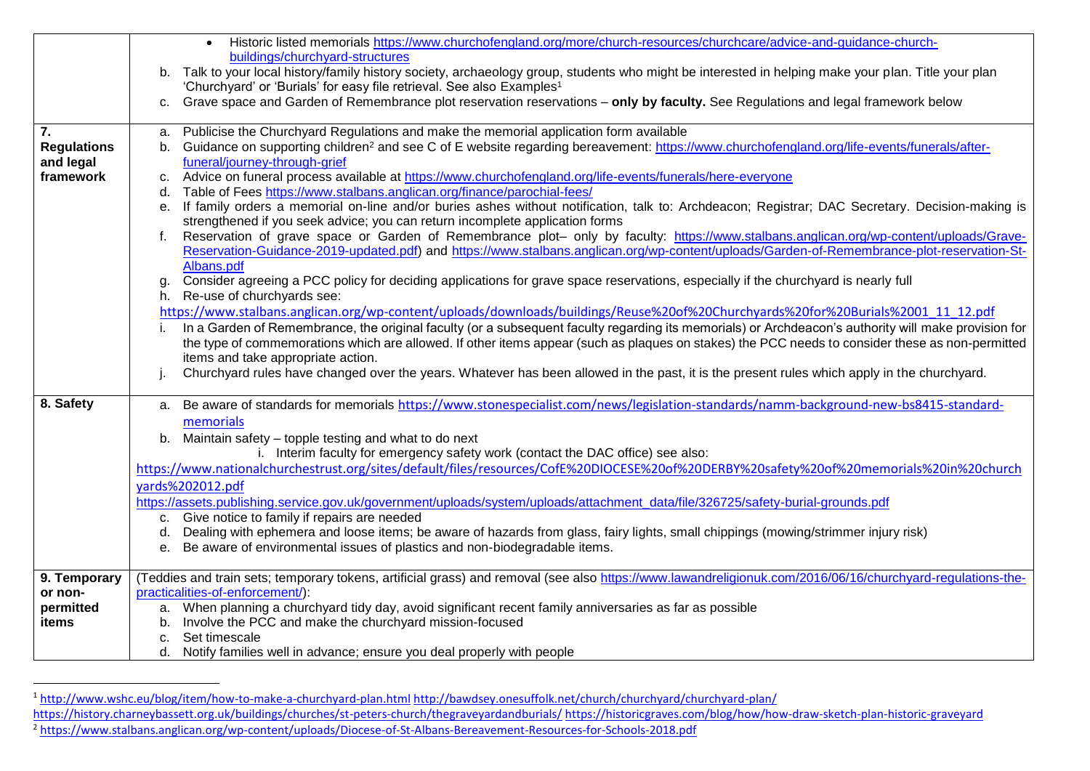|                    | Historic listed memorials https://www.churchofengland.org/more/church-resources/churchcare/advice-and-guidance-church-                                                                                                                     |
|--------------------|--------------------------------------------------------------------------------------------------------------------------------------------------------------------------------------------------------------------------------------------|
|                    | buildings/churchyard-structures                                                                                                                                                                                                            |
|                    | b. Talk to your local history/family history society, archaeology group, students who might be interested in helping make your plan. Title your plan                                                                                       |
|                    | 'Churchyard' or 'Burials' for easy file retrieval. See also Examples <sup>1</sup>                                                                                                                                                          |
|                    | Grave space and Garden of Remembrance plot reservation reservations - only by faculty. See Regulations and legal framework below<br>C.                                                                                                     |
| 7.                 | Publicise the Churchyard Regulations and make the memorial application form available<br>a.                                                                                                                                                |
| <b>Regulations</b> | b. Guidance on supporting children <sup>2</sup> and see C of E website regarding bereavement: https://www.churchofengland.org/life-events/funerals/after-                                                                                  |
| and legal          | funeral/journey-through-grief                                                                                                                                                                                                              |
| framework          | Advice on funeral process available at https://www.churchofengland.org/life-events/funerals/here-everyone<br>c.                                                                                                                            |
|                    | d. Table of Fees https://www.stalbans.anglican.org/finance/parochial-fees/                                                                                                                                                                 |
|                    | If family orders a memorial on-line and/or buries ashes without notification, talk to: Archdeacon; Registrar; DAC Secretary. Decision-making is<br>$e_{1}$<br>strengthened if you seek advice; you can return incomplete application forms |
|                    | Reservation of grave space or Garden of Remembrance plot- only by faculty: https://www.stalbans.anglican.org/wp-content/uploads/Grave-<br>f.                                                                                               |
|                    | Reservation-Guidance-2019-updated.pdf) and https://www.stalbans.anglican.org/wp-content/uploads/Garden-of-Remembrance-plot-reservation-St-                                                                                                 |
|                    | Albans.pdf<br>Consider agreeing a PCC policy for deciding applications for grave space reservations, especially if the churchyard is nearly full<br>g.                                                                                     |
|                    | h. Re-use of churchyards see:                                                                                                                                                                                                              |
|                    | https://www.stalbans.anglican.org/wp-content/uploads/downloads/buildings/Reuse%20of%20Churchyards%20for%20Burials%2001_11_12.pdf                                                                                                           |
|                    | In a Garden of Remembrance, the original faculty (or a subsequent faculty regarding its memorials) or Archdeacon's authority will make provision for                                                                                       |
|                    | the type of commemorations which are allowed. If other items appear (such as plaques on stakes) the PCC needs to consider these as non-permitted                                                                                           |
|                    | items and take appropriate action.                                                                                                                                                                                                         |
|                    | Churchyard rules have changed over the years. Whatever has been allowed in the past, it is the present rules which apply in the churchyard.                                                                                                |
| 8. Safety          | a. Be aware of standards for memorials https://www.stonespecialist.com/news/legislation-standards/namm-background-new-bs8415-standard-                                                                                                     |
|                    | memorials                                                                                                                                                                                                                                  |
|                    | b. Maintain safety - topple testing and what to do next                                                                                                                                                                                    |
|                    | i. Interim faculty for emergency safety work (contact the DAC office) see also:                                                                                                                                                            |
|                    | https://www.nationalchurchestrust.org/sites/default/files/resources/CofE%20DIOCESE%20of%20DERBY%20safety%20of%20memorials%20in%20church                                                                                                    |
|                    | yards%202012.pdf                                                                                                                                                                                                                           |
|                    | https://assets.publishing.service.gov.uk/government/uploads/system/uploads/attachment_data/file/326725/safety-burial-grounds.pdf                                                                                                           |
|                    | c. Give notice to family if repairs are needed                                                                                                                                                                                             |
|                    | Dealing with ephemera and loose items; be aware of hazards from glass, fairy lights, small chippings (mowing/strimmer injury risk)<br>d.                                                                                                   |
|                    | e. Be aware of environmental issues of plastics and non-biodegradable items.                                                                                                                                                               |
|                    |                                                                                                                                                                                                                                            |
| 9. Temporary       | (Teddies and train sets; temporary tokens, artificial grass) and removal (see also https://www.lawandreligionuk.com/2016/06/16/churchyard-regulations-the-                                                                                 |
| or non-            | practicalities-of-enforcement/):                                                                                                                                                                                                           |
| permitted          | a. When planning a churchyard tidy day, avoid significant recent family anniversaries as far as possible                                                                                                                                   |
| items              | b. Involve the PCC and make the churchyard mission-focused<br>Set timescale<br>C <sub>1</sub>                                                                                                                                              |
|                    | Notify families well in advance; ensure you deal properly with people<br>d.                                                                                                                                                                |
|                    |                                                                                                                                                                                                                                            |

 $\overline{\phantom{a}}$ 

<sup>1</sup> <http://www.wshc.eu/blog/item/how-to-make-a-churchyard-plan.html> <http://bawdsey.onesuffolk.net/church/churchyard/churchyard-plan/>

<https://history.charneybassett.org.uk/buildings/churches/st-peters-church/thegraveyardandburials/> <https://historicgraves.com/blog/how/how-draw-sketch-plan-historic-graveyard>

<sup>2</sup> <https://www.stalbans.anglican.org/wp-content/uploads/Diocese-of-St-Albans-Bereavement-Resources-for-Schools-2018.pdf>